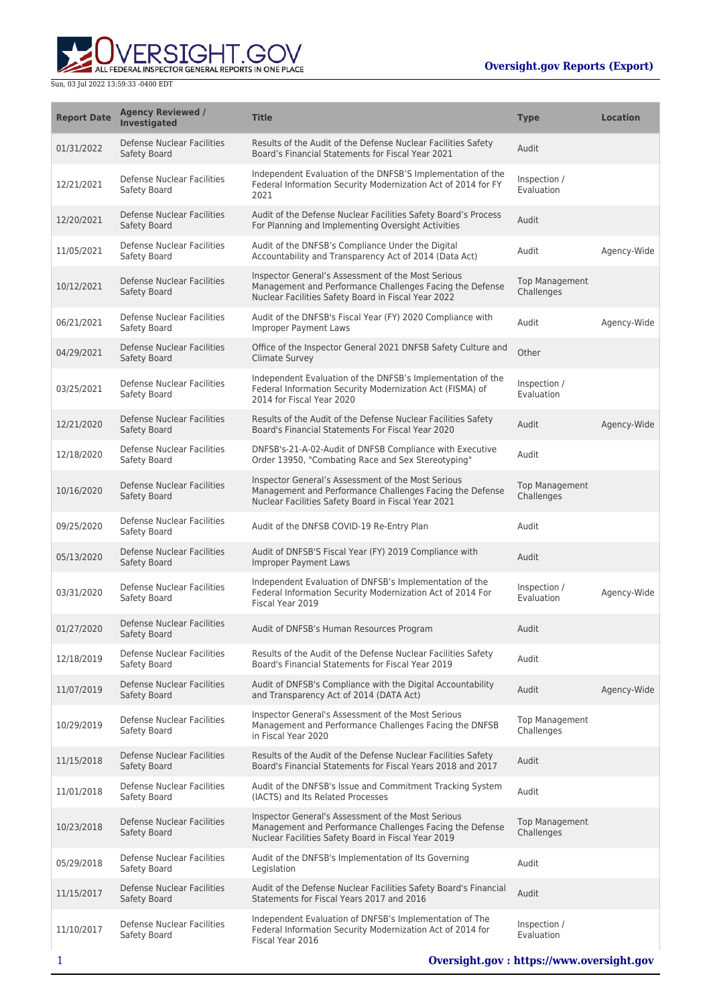

Sun, 03 Jul 2022 13:59:33 -0400 EDT

| <b>Report Date</b> | <b>Agency Reviewed /</b><br>Investigated          | <b>Title</b>                                                                                                                                                          | <b>Type</b>                         | <b>Location</b> |
|--------------------|---------------------------------------------------|-----------------------------------------------------------------------------------------------------------------------------------------------------------------------|-------------------------------------|-----------------|
| 01/31/2022         | Defense Nuclear Facilities<br>Safety Board        | Results of the Audit of the Defense Nuclear Facilities Safety<br>Board's Financial Statements for Fiscal Year 2021                                                    | Audit                               |                 |
| 12/21/2021         | Defense Nuclear Facilities<br>Safety Board        | Independent Evaluation of the DNFSB'S Implementation of the<br>Federal Information Security Modernization Act of 2014 for FY<br>2021                                  | Inspection /<br>Evaluation          |                 |
| 12/20/2021         | Defense Nuclear Facilities<br>Safety Board        | Audit of the Defense Nuclear Facilities Safety Board's Process<br>For Planning and Implementing Oversight Activities                                                  | Audit                               |                 |
| 11/05/2021         | Defense Nuclear Facilities<br>Safety Board        | Audit of the DNFSB's Compliance Under the Digital<br>Accountability and Transparency Act of 2014 (Data Act)                                                           | Audit                               | Agency-Wide     |
| 10/12/2021         | Defense Nuclear Facilities<br>Safety Board        | Inspector General's Assessment of the Most Serious<br>Management and Performance Challenges Facing the Defense<br>Nuclear Facilities Safety Board in Fiscal Year 2022 | <b>Top Management</b><br>Challenges |                 |
| 06/21/2021         | Defense Nuclear Facilities<br>Safety Board        | Audit of the DNFSB's Fiscal Year (FY) 2020 Compliance with<br>Improper Payment Laws                                                                                   | Audit                               | Agency-Wide     |
| 04/29/2021         | <b>Defense Nuclear Facilities</b><br>Safety Board | Office of the Inspector General 2021 DNFSB Safety Culture and<br><b>Climate Survey</b>                                                                                | Other                               |                 |
| 03/25/2021         | Defense Nuclear Facilities<br>Safety Board        | Independent Evaluation of the DNFSB's Implementation of the<br>Federal Information Security Modernization Act (FISMA) of<br>2014 for Fiscal Year 2020                 | Inspection /<br>Evaluation          |                 |
| 12/21/2020         | Defense Nuclear Facilities<br>Safety Board        | Results of the Audit of the Defense Nuclear Facilities Safety<br>Board's Financial Statements For Fiscal Year 2020                                                    | Audit                               | Agency-Wide     |
| 12/18/2020         | Defense Nuclear Facilities<br>Safety Board        | DNFSB's-21-A-02-Audit of DNFSB Compliance with Executive<br>Order 13950, "Combating Race and Sex Stereotyping"                                                        | Audit                               |                 |
| 10/16/2020         | Defense Nuclear Facilities<br>Safety Board        | Inspector General's Assessment of the Most Serious<br>Management and Performance Challenges Facing the Defense<br>Nuclear Facilities Safety Board in Fiscal Year 2021 | <b>Top Management</b><br>Challenges |                 |
| 09/25/2020         | Defense Nuclear Facilities<br>Safety Board        | Audit of the DNFSB COVID-19 Re-Entry Plan                                                                                                                             | Audit                               |                 |
| 05/13/2020         | Defense Nuclear Facilities<br>Safety Board        | Audit of DNFSB'S Fiscal Year (FY) 2019 Compliance with<br><b>Improper Payment Laws</b>                                                                                | Audit                               |                 |
| 03/31/2020         | Defense Nuclear Facilities<br>Safety Board        | Independent Evaluation of DNFSB's Implementation of the<br>Federal Information Security Modernization Act of 2014 For<br>Fiscal Year 2019                             | Inspection /<br>Evaluation          | Agency-Wide     |
| 01/27/2020         | Defense Nuclear Facilities<br>Safety Board        | Audit of DNFSB's Human Resources Program                                                                                                                              | Audit                               |                 |
| 12/18/2019         | Defense Nuclear Facilities<br>Safety Board        | Results of the Audit of the Defense Nuclear Facilities Safety<br>Board's Financial Statements for Fiscal Year 2019                                                    | Audit                               |                 |
| 11/07/2019         | <b>Defense Nuclear Facilities</b><br>Safety Board | Audit of DNFSB's Compliance with the Digital Accountability<br>and Transparency Act of 2014 (DATA Act)                                                                | Audit                               | Agency-Wide     |
| 10/29/2019         | Defense Nuclear Facilities<br>Safety Board        | Inspector General's Assessment of the Most Serious<br>Management and Performance Challenges Facing the DNFSB<br>in Fiscal Year 2020                                   | <b>Top Management</b><br>Challenges |                 |
| 11/15/2018         | <b>Defense Nuclear Facilities</b><br>Safety Board | Results of the Audit of the Defense Nuclear Facilities Safety<br>Board's Financial Statements for Fiscal Years 2018 and 2017                                          | Audit                               |                 |
| 11/01/2018         | Defense Nuclear Facilities<br>Safety Board        | Audit of the DNFSB's Issue and Commitment Tracking System<br>(IACTS) and Its Related Processes                                                                        | Audit                               |                 |
| 10/23/2018         | Defense Nuclear Facilities<br>Safety Board        | Inspector General's Assessment of the Most Serious<br>Management and Performance Challenges Facing the Defense<br>Nuclear Facilities Safety Board in Fiscal Year 2019 | <b>Top Management</b><br>Challenges |                 |
| 05/29/2018         | Defense Nuclear Facilities<br>Safety Board        | Audit of the DNFSB's Implementation of Its Governing<br>Legislation                                                                                                   | Audit                               |                 |
| 11/15/2017         | Defense Nuclear Facilities<br>Safety Board        | Audit of the Defense Nuclear Facilities Safety Board's Financial<br>Statements for Fiscal Years 2017 and 2016                                                         | Audit                               |                 |
| 11/10/2017         | Defense Nuclear Facilities<br>Safety Board        | Independent Evaluation of DNFSB's Implementation of The<br>Federal Information Security Modernization Act of 2014 for<br>Fiscal Year 2016                             | Inspection /<br>Evaluation          |                 |